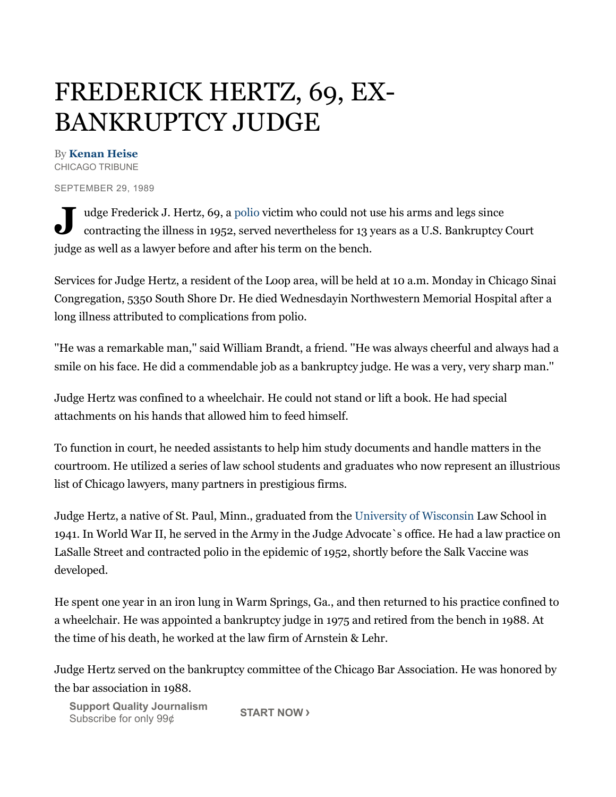## FREDERICK HERTZ, 69, EX-BANKRUPTCY JUDGE

## By **Kenan Heise**

CHICAGO TRIBUNE

SEPTEMBER 29,1989

U udge Frederick J. Hertz, 69, a polio victim who could not use his arms and legs since contracting the illness in 1952, served nevertheless for 13 years as a U.S. Bankruptcy contracting the illness in 1952, served nevertheless for 13 years as a U.S. Bankruptcy Court judge as well as a lawyer before and after his term on the bench.

Services for Judge Hertz, a resident of the Loop area, will be held at 10 a.m. Monday in Chicago Sinai Congregation, 5350 South Shore Dr. He died Wednesdayin Northwestern Memorial Hospital after a long illness attributed to complications from polio.

''He was a remarkable man,''said William Brandt, a friend. ''He was always cheerful and always had a smile on his face. He did a commendable job as a bankruptcy judge. He was a very, very sharp man.''

Judge Hertz was confined to a wheelchair. He could not stand or lift a book. He had special attachments on his hands that allowed him to feed himself.

To function in court, he needed assistants to help him study documents and handle matters in the courtroom. He utilized a series of lawschool students and graduates who nowrepresent an illustrious list of Chicago lawyers, many partners in prestigious firms.

Judge Hertz, a native of St. Paul, Minn., graduated from the University of Wisconsin LawSchool in 1941. In World War II, he served in the Army in the Judge Advocate`s office. He had a lawpractice on LaSalle Street and contracted polio in the epidemic of 1952, shortly before the Salk Vaccine was developed.

He spent one year in an iron lung in Warm Springs, Ga., and then returned to his practice confined to a wheelchair. He was appointed a bankruptcy judge in 1975 and retired from the bench in 1988. At the time of his death, he worked at the law firm of Arnstein & Lehr.

Judge Hertz served on the bankruptcy committee of the Chicago Bar Association. He was honored by the bar association in 1988.

**Support Quality Journalism** Subscribe for only 99¢ **START NOW >**